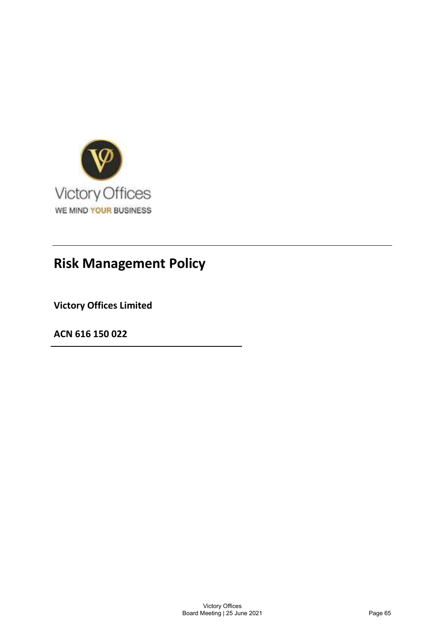

# Risk Management Policy

Victory Offices Limited

ACN 616 150 022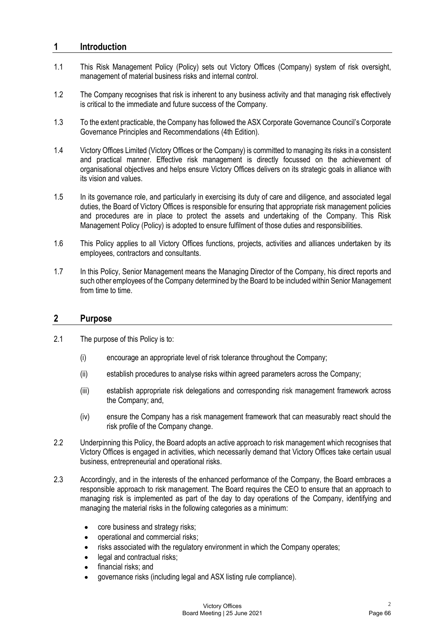## 1 Introduction

- 1.1 **Introduction**<br>1.1 This Risk Management Policy (Policy) sets out Victory Offices (Company) system of risk oversight,<br>1.2 The Company recognises that risk is inherent to any business activity and that managing risk effe management of material business risks and internal control.
- 1.2 The Company recognises that risk is inherent to any business activity and that managing risk effectively is critical to the immediate and future success of the Company.
- 1.3 To the extent practicable, the Company has followed the ASX Corporate Governance Council's Corporate Governance Principles and Recommendations (4th Edition).
- 1.4 Victory Offices Limited (Victory Offices or the Company) is committed to managing its risks in a consistent and practical manner. Effective risk management is directly focussed on the achievement of organisational objectives and helps ensure Victory Offices delivers on its strategic goals in alliance with its vision and values.
- 1.5 In its governance role, and particularly in exercising its duty of care and diligence, and associated legal duties, the Board of Victory Offices is responsible for ensuring that appropriate risk management policies and procedures are in place to protect the assets and undertaking of the Company. This Risk Management Policy (Policy) is adopted to ensure fulfilment of those duties and responsibilities.
- 1.6 This Policy applies to all Victory Offices functions, projects, activities and alliances undertaken by its employees, contractors and consultants.
- 1.7 In this Policy, Senior Management means the Managing Director of the Company, his direct reports and such other employees of the Company determined by the Board to be included within Senior Management from time to time.

## 2 Purpose

- 2.1 The purpose of this Policy is to:
	- (i) encourage an appropriate level of risk tolerance throughout the Company;
	- (ii) establish procedures to analyse risks within agreed parameters across the Company;
	- (iii) establish appropriate risk delegations and corresponding risk management framework across the Company; and,
	- (iv) ensure the Company has a risk management framework that can measurably react should the risk profile of the Company change.
- 2.2 Underpinning this Policy, the Board adopts an active approach to risk management which recognises that Victory Offices is engaged in activities, which necessarily demand that Victory Offices take certain usual business, entrepreneurial and operational risks.
- 2.3 Accordingly, and in the interests of the enhanced performance of the Company, the Board embraces a responsible approach to risk management. The Board requires the CEO to ensure that an approach to managing risk is implemented as part of the day to day operations of the Company, identifying and managing the material risks in the following categories as a minimum:
	- core business and strategy risks;  $\bullet$
	- operational and commercial risks;
	- risks associated with the regulatory environment in which the Company operates;
	- legal and contractual risks;
	- financial risks; and  $\bullet$
	- governance risks (including legal and ASX listing rule compliance).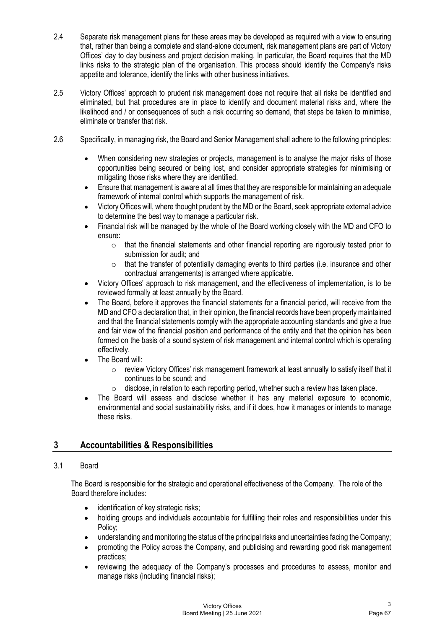- 2.4 Separate risk management plans for these areas may be developed as required with a view to ensuring that, rather than being a complete and stand-alone document, risk management plans are part of Victory Offices' day to that, rather than being a complete and stand-alone document, risk management plans are part of Victory Offices' day to day business and project decision making. In particular, the Board requires that the MD links risks to the strategic plan of the organisation. This process should identify the Company's risks appetite and tolerance, identify the links with other business initiatives.
- 2.5 Victory Offices' approach to prudent risk management does not require that all risks be identified and eliminated, but that procedures are in place to identify and document material risks and, where the likelihood and / or consequences of such a risk occurring so demand, that steps be taken to minimise, eliminate or transfer that risk.
- 2.6 Specifically, in managing risk, the Board and Senior Management shall adhere to the following principles:
	- $\bullet$ When considering new strategies or projects, management is to analyse the major risks of those opportunities being secured or being lost, and consider appropriate strategies for minimising or mitigating those risks where they are identified.
	- $\bullet$ Ensure that management is aware at all times that they are responsible for maintaining an adequate framework of internal control which supports the management of risk.
	- Victory Offices will, where thought prudent by the MD or the Board, seek appropriate external advice to determine the best way to manage a particular risk.
	- Financial risk will be managed by the whole of the Board working closely with the MD and CFO to ensure:
		- $\circ$  that the financial statements and other financial reporting are rigorously tested prior to submission for audit; and
		- $\circ$  that the transfer of potentially damaging events to third parties (i.e. insurance and other contractual arrangements) is arranged where applicable.
	- Victory Offices' approach to risk management, and the effectiveness of implementation, is to be reviewed formally at least annually by the Board.
	- The Board, before it approves the financial statements for a financial period, will receive from the MD and CFO a declaration that, in their opinion, the financial records have been properly maintained and that the financial statements comply with the appropriate accounting standards and give a true and fair view of the financial position and performance of the entity and that the opinion has been formed on the basis of a sound system of risk management and internal control which is operating effectively.
	- The Board will:
		- $\circ$  review Victory Offices' risk management framework at least annually to satisfy itself that it continues to be sound; and
		- o disclose, in relation to each reporting period, whether such a review has taken place.
	- The Board will assess and disclose whether it has any material exposure to economic, environmental and social sustainability risks, and if it does, how it manages or intends to manage these risks.

## 3 Accountabilities & Responsibilities

## 3.1 Board

The Board is responsible for the strategic and operational effectiveness of the Company. The role of the Board therefore includes:

- identification of key strategic risks;  $\bullet$
- holding groups and individuals accountable for fulfilling their roles and responsibilities under this  $\bullet$ Policy;
- understanding and monitoring the status of the principal risks and uncertainties facing the Company;
- promoting the Policy across the Company, and publicising and rewarding good risk management practices;
- reviewing the adequacy of the Company's processes and procedures to assess, monitor and manage risks (including financial risks);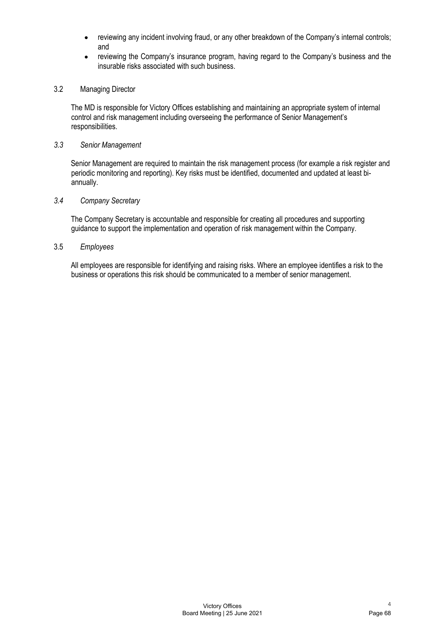- reviewing any incident involving fraud, or any other breakdown of the Company's internal controls; and
- reviewing the Company's insurance program, having regard to the Company's business and the  $\bullet$ insurable risks associated with such business.

## 3.2 Managing Director

The MD is responsible for Victory Offices establishing and maintaining an appropriate system of internal control and risk management including overseeing the performance of Senior Management's responsibilities.

#### 3.3 Senior Management

Senior Management are required to maintain the risk management process (for example a risk register and periodic monitoring and reporting). Key risks must be identified, documented and updated at least biannually.

## 3.4 Company Secretary

The Company Secretary is accountable and responsible for creating all procedures and supporting guidance to support the implementation and operation of risk management within the Company.

### 3.5 Employees

All employees are responsible for identifying and raising risks. Where an employee identifies a risk to the business or operations this risk should be communicated to a member of senior management.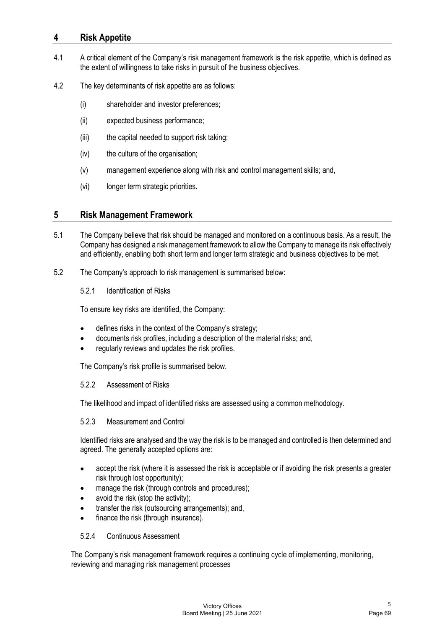## 4 Risk Appetite

- **4.1** A critical element of the Company's risk management framework is the risk appetite, which is defined as the extent of willingness to take risks in pursuit of the business objectives.<br>4.2 The key determinants of risk the extent of willingness to take risks in pursuit of the business objectives.
- 4.2 The key determinants of risk appetite are as follows:
	- (i) shareholder and investor preferences;
	- (ii) expected business performance;
	- (iii) the capital needed to support risk taking;
	- (iv) the culture of the organisation;
	- (v) management experience along with risk and control management skills; and,
	- (vi) longer term strategic priorities.

## 5 Risk Management Framework

- 5.1 The Company believe that risk should be managed and monitored on a continuous basis. As a result, the Company has designed a risk management framework to allow the Company to manage its risk effectively and efficiently, enabling both short term and longer term strategic and business objectives to be met.
- 5.2 The Company's approach to risk management is summarised below:
	- 5.2.1 Identification of Risks

To ensure key risks are identified, the Company:

- defines risks in the context of the Company's strategy;
- documents risk profiles, including a description of the material risks; and,
- regularly reviews and updates the risk profiles.

The Company's risk profile is summarised below.

## 5.2.2 Assessment of Risks

The likelihood and impact of identified risks are assessed using a common methodology.

## 5.2.3 Measurement and Control

Identified risks are analysed and the way the risk is to be managed and controlled is then determined and agreed. The generally accepted options are:

- accept the risk (where it is assessed the risk is acceptable or if avoiding the risk presents a greater  $\bullet$ risk through lost opportunity);
- manage the risk (through controls and procedures);
- avoid the risk (stop the activity);
- transfer the risk (outsourcing arrangements); and,
- finance the risk (through insurance).

## 5.2.4 Continuous Assessment

The Company's risk management framework requires a continuing cycle of implementing, monitoring, reviewing and managing risk management processes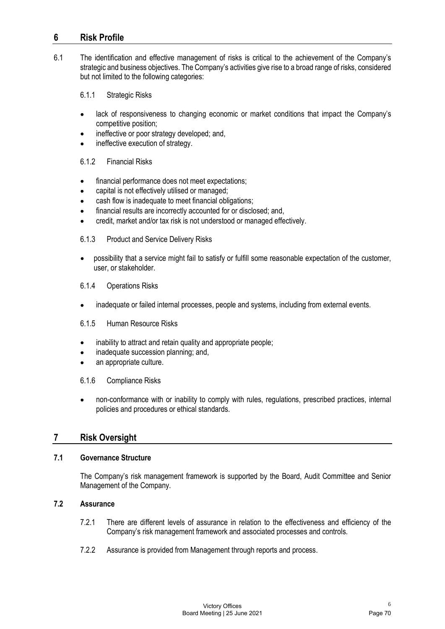## 6 Risk Profile

Find The identification and effective management of risks is critical to the achievement of the Company's<br>strategic and business objectives. The Company's activities give rise to a broad range of risks, considered<br>but not strategic and business objectives. The Company's activities give rise to a broad range of risks, considered but not limited to the following categories:

6.1.1 Strategic Risks

- lack of responsiveness to changing economic or market conditions that impact the Company's  $\bullet$ competitive position;
- ineffective or poor strategy developed; and,
- ineffective execution of strategy.

#### 6.1.2 Financial Risks

- financial performance does not meet expectations;
- capital is not effectively utilised or managed;
- cash flow is inadequate to meet financial obligations;
- financial results are incorrectly accounted for or disclosed; and,
- credit, market and/or tax risk is not understood or managed effectively.

#### 6.1.3 Product and Service Delivery Risks

possibility that a service might fail to satisfy or fulfill some reasonable expectation of the customer,  $\bullet$ user, or stakeholder.

#### 6.1.4 Operations Risks

inadequate or failed internal processes, people and systems, including from external events.

#### 6.1.5 Human Resource Risks

- inability to attract and retain quality and appropriate people;
- inadequate succession planning; and,
- an appropriate culture.

## 6.1.6 Compliance Risks

non-conformance with or inability to comply with rules, regulations, prescribed practices, internal  $\bullet$ policies and procedures or ethical standards.

## 7 Risk Oversight

## 7.1 Governance Structure

The Company's risk management framework is supported by the Board, Audit Committee and Senior Management of the Company.

## 7.2 Assurance

- 7.2.1 There are different levels of assurance in relation to the effectiveness and efficiency of the Company's risk management framework and associated processes and controls.
- 7.2.2 Assurance is provided from Management through reports and process.